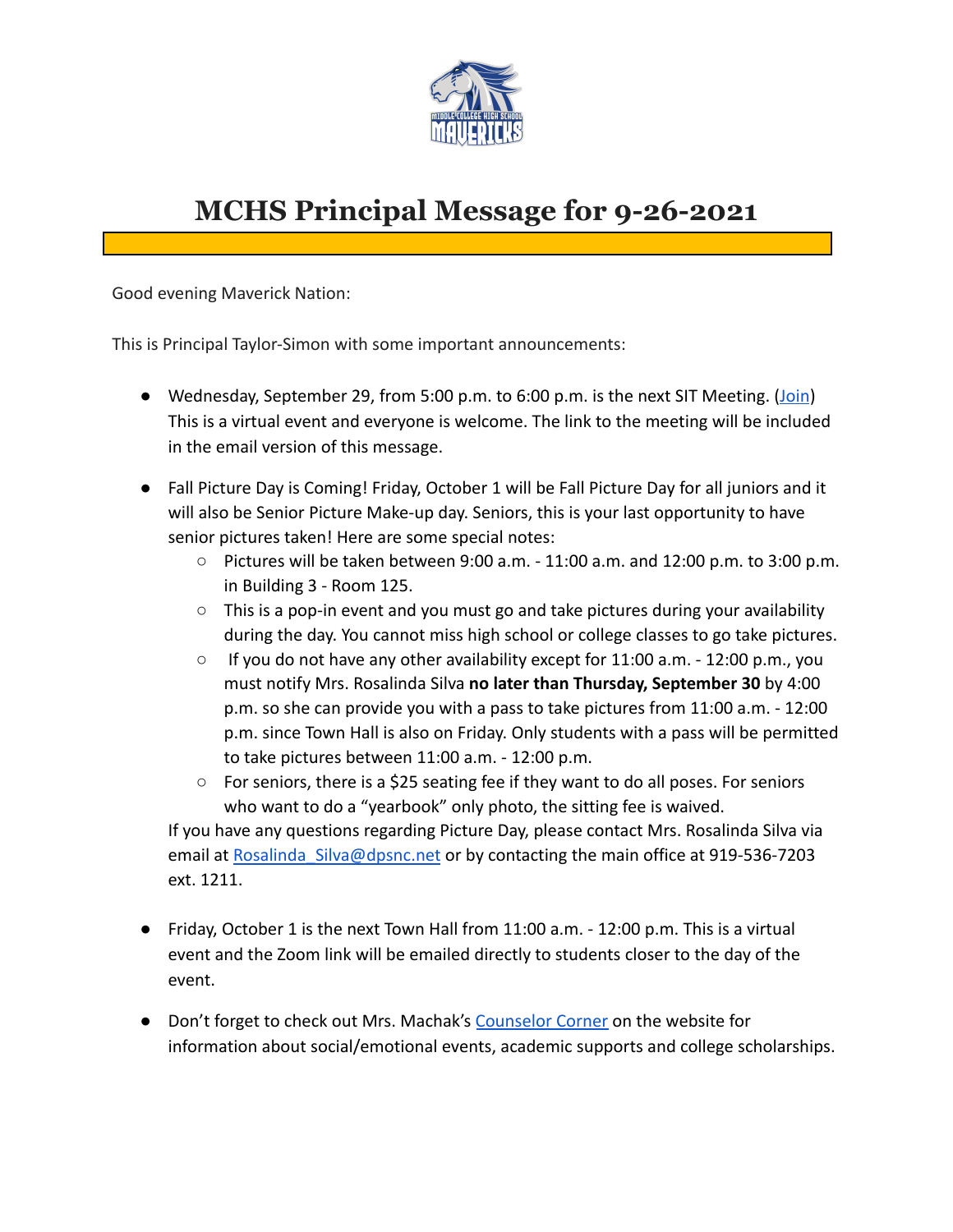

# **MCHS Principal Message for 9-26-2021**

Good evening Maverick Nation:

This is Principal Taylor-Simon with some important announcements:

- Wednesday, September 29, from 5:00 p.m. to 6:00 p.m. is the next SIT Meeting. [\(Join](https://dpsnc.zoom.us/j/92496853372)) This is a virtual event and everyone is welcome. The link to the meeting will be included in the email version of this message.
- Fall Picture Day is Coming! Friday, October 1 will be Fall Picture Day for all juniors and it will also be Senior Picture Make-up day. Seniors, this is your last opportunity to have senior pictures taken! Here are some special notes:
	- $\circ$  Pictures will be taken between 9:00 a.m. 11:00 a.m. and 12:00 p.m. to 3:00 p.m. in Building 3 - Room 125.
	- $\circ$  This is a pop-in event and you must go and take pictures during your availability during the day. You cannot miss high school or college classes to go take pictures.
	- $\circ$  If you do not have any other availability except for 11:00 a.m. 12:00 p.m., you must notify Mrs. Rosalinda Silva **no later than Thursday, September 30** by 4:00 p.m. so she can provide you with a pass to take pictures from 11:00 a.m. - 12:00 p.m. since Town Hall is also on Friday. Only students with a pass will be permitted to take pictures between 11:00 a.m. - 12:00 p.m.
	- $\circ$  For seniors, there is a \$25 seating fee if they want to do all poses. For seniors who want to do a "yearbook" only photo, the sitting fee is waived.

If you have any questions regarding Picture Day, please contact Mrs. Rosalinda Silva via email at Rosalinda Silva@dpsnc.net or by contacting the main office at 919-536-7203 ext. 1211.

- Friday, October 1 is the next Town Hall from 11:00 a.m. 12:00 p.m. This is a virtual event and the Zoom link will be emailed directly to students closer to the day of the event.
- Don't forget to check out Mrs. Machak's [Counselor](https://www.dpsnc.net/domain/2063) Corner on the website for information about social/emotional events, academic supports and college scholarships.